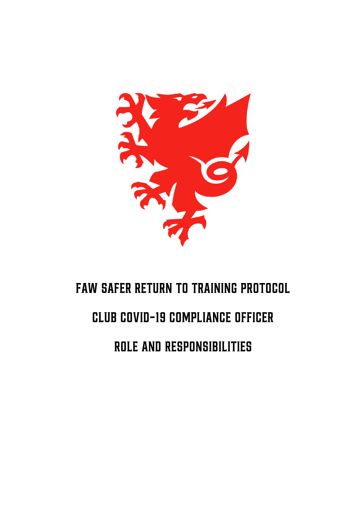

# **FAW SAFER RETURN TO TRAINING PROTOCOL CLUB COVID-19 COMPLIANCE OFFICER**

ROLE AND RESPONSIBILITIES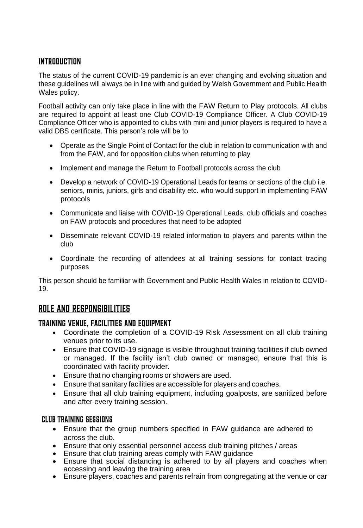## INTRODUCTION

The status of the current COVID-19 pandemic is an ever changing and evolving situation and these guidelines will always be in line with and guided by Welsh Government and Public Health Wales policy.

Football activity can only take place in line with the FAW Return to Play protocols. All clubs are required to appoint at least one Club COVID-19 Compliance Officer. A Club COVID-19 Compliance Officer who is appointed to clubs with mini and junior players is required to have a valid DBS certificate. This person's role will be to

- Operate as the Single Point of Contact for the club in relation to communication with and from the FAW, and for opposition clubs when returning to play
- Implement and manage the Return to Football protocols across the club
- Develop a network of COVID-19 Operational Leads for teams or sections of the club i.e. seniors, minis, juniors, girls and disability etc. who would support in implementing FAW protocols
- Communicate and liaise with COVID-19 Operational Leads, club officials and coaches on FAW protocols and procedures that need to be adopted
- Disseminate relevant COVID-19 related information to players and parents within the club
- Coordinate the recording of attendees at all training sessions for contact tracing purposes

This person should be familiar with Government and Public Health Wales in relation to COVID-19.

# **ROLE AND RESPONSIBILITIES**

### **TRAINING VENUE, FACILITIES AND EQUIPMENT**

- Coordinate the completion of a COVID-19 Risk Assessment on all club training venues prior to its use.
- Ensure that COVID-19 signage is visible throughout training facilities if club owned or managed. If the facility isn't club owned or managed, ensure that this is coordinated with facility provider.
- Ensure that no changing rooms or showers are used.
- Ensure that sanitary facilities are accessible for players and coaches.
- Ensure that all club training equipment, including goalposts, are sanitized before and after every training session.

#### **CLUB TRAINING SESSIONS**

- Ensure that the group numbers specified in FAW guidance are adhered to across the club.
- Ensure that only essential personnel access club training pitches / areas
- Ensure that club training areas comply with FAW guidance
- Ensure that social distancing is adhered to by all players and coaches when accessing and leaving the training area
- Ensure players, coaches and parents refrain from congregating at the venue or car